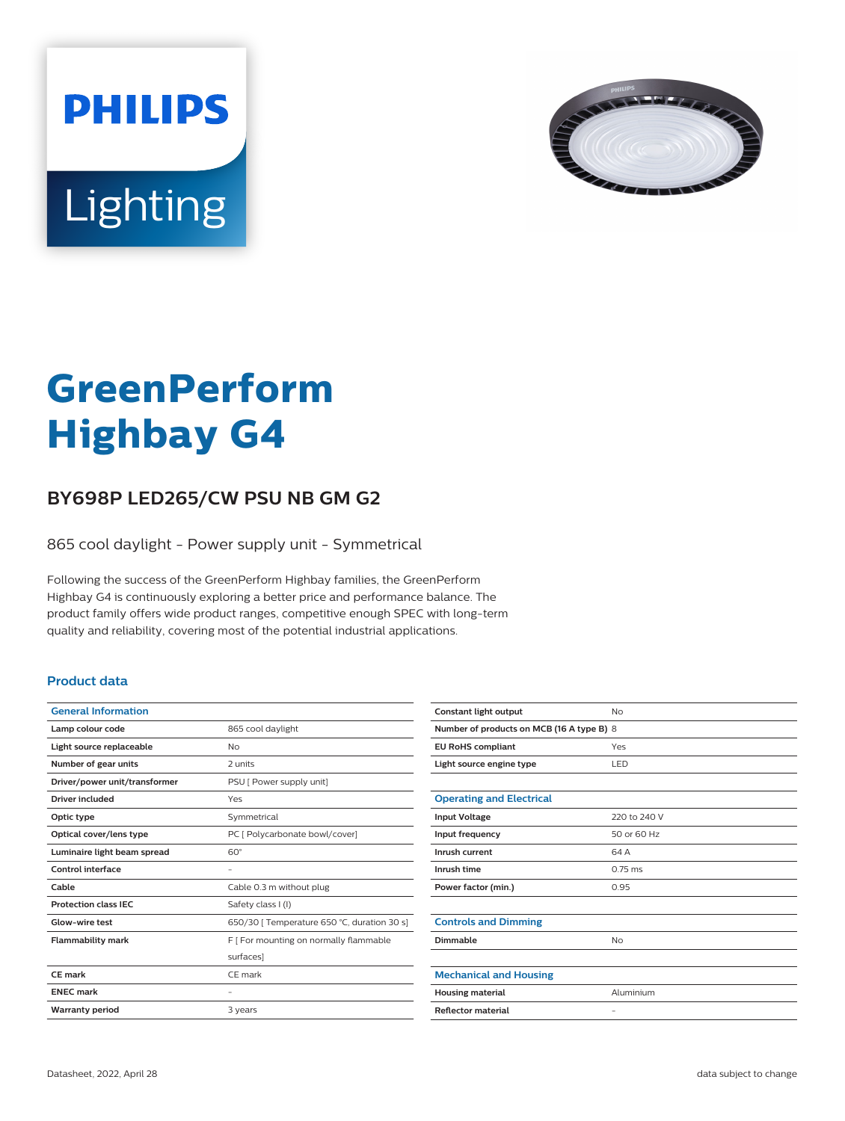



# **GreenPerform Highbay G4**

## **BY698P LED265/CW PSU NB GM G2**

865 cool daylight - Power supply unit - Symmetrical

Following the success of the GreenPerform Highbay families, the GreenPerform Highbay G4 is continuously exploring a better price and performance balance. The product family offers wide product ranges, competitive enough SPEC with long-term quality and reliability, covering most of the potential industrial applications.

### **Product data**

| 865 cool daylight                           |
|---------------------------------------------|
| No                                          |
| 2 units                                     |
| PSU [ Power supply unit]                    |
| Yes                                         |
| Symmetrical                                 |
| PC [ Polycarbonate bowl/cover]              |
| $60^\circ$                                  |
|                                             |
| Cable 0.3 m without plug                    |
| Safety class I (I)                          |
| 650/30   Temperature 650 °C, duration 30 s] |
| F   For mounting on normally flammable      |
| surfaces]                                   |
| CF mark                                     |
|                                             |
|                                             |
|                                             |

| Constant light output                     | No                |  |
|-------------------------------------------|-------------------|--|
| Number of products on MCB (16 A type B) 8 |                   |  |
| <b>EU RoHS compliant</b>                  | Yes               |  |
| Light source engine type                  | LED               |  |
|                                           |                   |  |
| <b>Operating and Electrical</b>           |                   |  |
| <b>Input Voltage</b>                      | 220 to 240 V      |  |
| Input frequency                           | 50 or 60 Hz       |  |
| Inrush current                            | 64 A              |  |
| Inrush time                               | $0.75$ ms         |  |
| Power factor (min.)                       | 0.95              |  |
|                                           |                   |  |
| <b>Controls and Dimming</b>               |                   |  |
| Dimmable                                  | No                |  |
|                                           |                   |  |
| <b>Mechanical and Housing</b>             |                   |  |
| <b>Housing material</b>                   | Aluminium         |  |
| <b>Reflector material</b>                 | $\qquad \qquad -$ |  |
|                                           |                   |  |